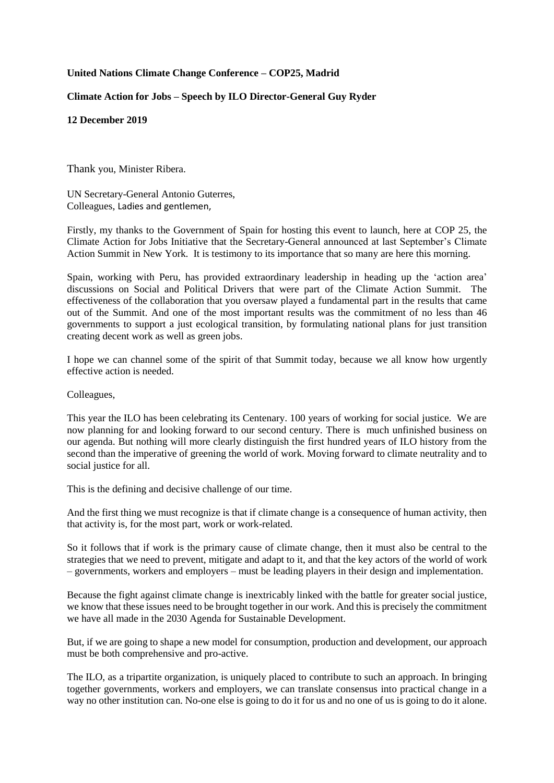## **United Nations Climate Change Conference – COP25, Madrid**

## **Climate Action for Jobs – Speech by ILO Director-General Guy Ryder**

## **12 December 2019**

Thank you, Minister Ribera.

UN Secretary-General Antonio Guterres, Colleagues, Ladies and gentlemen,

Firstly, my thanks to the Government of Spain for hosting this event to launch, here at COP 25, the Climate Action for Jobs Initiative that the Secretary-General announced at last September's Climate Action Summit in New York. It is testimony to its importance that so many are here this morning.

Spain, working with Peru, has provided extraordinary leadership in heading up the 'action area' discussions on Social and Political Drivers that were part of the Climate Action Summit. The effectiveness of the collaboration that you oversaw played a fundamental part in the results that came out of the Summit. And one of the most important results was the commitment of no less than 46 governments to support a just ecological transition, by formulating national plans for just transition creating decent work as well as green jobs.

I hope we can channel some of the spirit of that Summit today, because we all know how urgently effective action is needed.

Colleagues,

This year the ILO has been celebrating its Centenary. 100 years of working for social justice. We are now planning for and looking forward to our second century. There is much unfinished business on our agenda. But nothing will more clearly distinguish the first hundred years of ILO history from the second than the imperative of greening the world of work. Moving forward to climate neutrality and to social justice for all.

This is the defining and decisive challenge of our time.

And the first thing we must recognize is that if climate change is a consequence of human activity, then that activity is, for the most part, work or work-related.

So it follows that if work is the primary cause of climate change, then it must also be central to the strategies that we need to prevent, mitigate and adapt to it, and that the key actors of the world of work – governments, workers and employers – must be leading players in their design and implementation.

Because the fight against climate change is inextricably linked with the battle for greater social justice, we know that these issues need to be brought together in our work. And this is precisely the commitment we have all made in the 2030 Agenda for Sustainable Development.

But, if we are going to shape a new model for consumption, production and development, our approach must be both comprehensive and pro-active.

The ILO, as a tripartite organization, is uniquely placed to contribute to such an approach. In bringing together governments, workers and employers, we can translate consensus into practical change in a way no other institution can. No-one else is going to do it for us and no one of us is going to do it alone.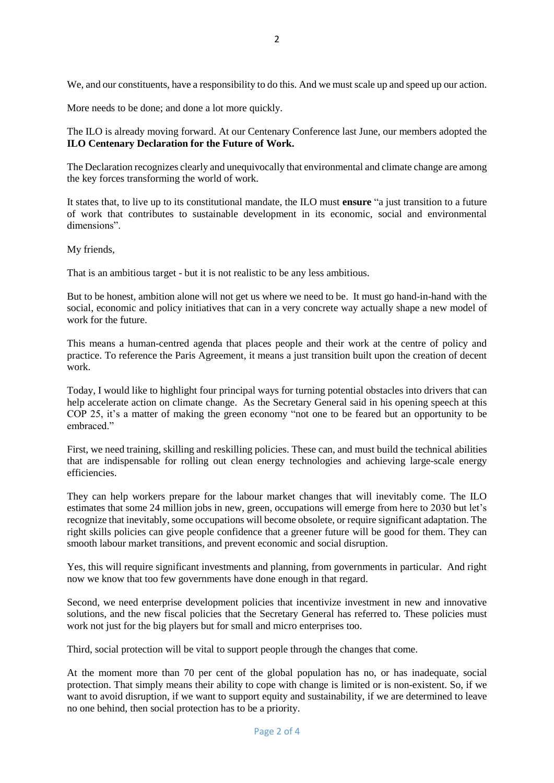We, and our constituents, have a responsibility to do this. And we must scale up and speed up our action.

More needs to be done; and done a lot more quickly.

The ILO is already moving forward. At our Centenary Conference last June, our members adopted the **ILO Centenary Declaration for the Future of Work.**

The Declaration recognizes clearly and unequivocally that environmental and climate change are among the key forces transforming the world of work.

It states that, to live up to its constitutional mandate, the ILO must **ensure** "a just transition to a future of work that contributes to sustainable development in its economic, social and environmental dimensions".

My friends,

That is an ambitious target - but it is not realistic to be any less ambitious.

But to be honest, ambition alone will not get us where we need to be. It must go hand-in-hand with the social, economic and policy initiatives that can in a very concrete way actually shape a new model of work for the future.

This means a human-centred agenda that places people and their work at the centre of policy and practice. To reference the Paris Agreement, it means a just transition built upon the creation of decent work.

Today, I would like to highlight four principal ways for turning potential obstacles into drivers that can help accelerate action on climate change. As the Secretary General said in his opening speech at this COP 25, it's a matter of making the green economy "not one to be feared but an opportunity to be embraced."

First, we need training, skilling and reskilling policies. These can, and must build the technical abilities that are indispensable for rolling out clean energy technologies and achieving large-scale energy efficiencies.

They can help workers prepare for the labour market changes that will inevitably come. The ILO estimates that some 24 million jobs in new, green, occupations will emerge from here to 2030 but let's recognize that inevitably, some occupations will become obsolete, or require significant adaptation. The right skills policies can give people confidence that a greener future will be good for them. They can smooth labour market transitions, and prevent economic and social disruption.

Yes, this will require significant investments and planning, from governments in particular. And right now we know that too few governments have done enough in that regard.

Second, we need enterprise development policies that incentivize investment in new and innovative solutions, and the new fiscal policies that the Secretary General has referred to. These policies must work not just for the big players but for small and micro enterprises too.

Third, social protection will be vital to support people through the changes that come.

At the moment more than 70 per cent of the global population has no, or has inadequate, social protection. That simply means their ability to cope with change is limited or is non-existent. So, if we want to avoid disruption, if we want to support equity and sustainability, if we are determined to leave no one behind, then social protection has to be a priority.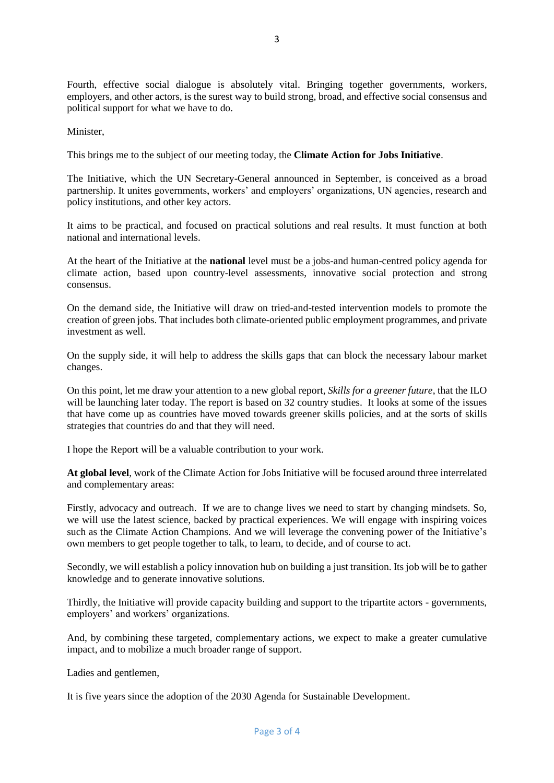Fourth, effective social dialogue is absolutely vital. Bringing together governments, workers, employers, and other actors, is the surest way to build strong, broad, and effective social consensus and political support for what we have to do.

Minister,

This brings me to the subject of our meeting today, the **Climate Action for Jobs Initiative**.

The Initiative, which the UN Secretary-General announced in September, is conceived as a broad partnership. It unites governments, workers' and employers' organizations, UN agencies, research and policy institutions, and other key actors.

It aims to be practical, and focused on practical solutions and real results. It must function at both national and international levels.

At the heart of the Initiative at the **national** level must be a jobs-and human-centred policy agenda for climate action, based upon country-level assessments, innovative social protection and strong consensus.

On the demand side, the Initiative will draw on tried-and-tested intervention models to promote the creation of green jobs. That includes both climate-oriented public employment programmes, and private investment as well.

On the supply side, it will help to address the skills gaps that can block the necessary labour market changes.

On this point, let me draw your attention to a new global report, *Skills for a greener future*, that the ILO will be launching later today. The report is based on 32 country studies. It looks at some of the issues that have come up as countries have moved towards greener skills policies, and at the sorts of skills strategies that countries do and that they will need.

I hope the Report will be a valuable contribution to your work.

**At global level**, work of the Climate Action for Jobs Initiative will be focused around three interrelated and complementary areas:

Firstly, advocacy and outreach. If we are to change lives we need to start by changing mindsets. So, we will use the latest science, backed by practical experiences. We will engage with inspiring voices such as the Climate Action Champions. And we will leverage the convening power of the Initiative's own members to get people together to talk, to learn, to decide, and of course to act.

Secondly, we will establish a policy innovation hub on building a just transition. Its job will be to gather knowledge and to generate innovative solutions.

Thirdly, the Initiative will provide capacity building and support to the tripartite actors - governments, employers' and workers' organizations.

And, by combining these targeted, complementary actions, we expect to make a greater cumulative impact, and to mobilize a much broader range of support.

Ladies and gentlemen,

It is five years since the adoption of the 2030 Agenda for Sustainable Development.